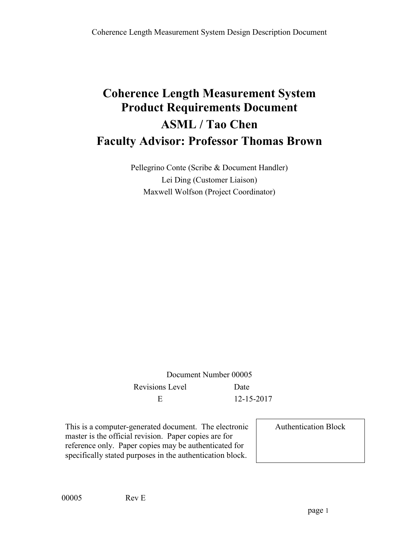# **Coherence Length Measurement System Product Requirements Document ASML / Tao Chen Faculty Advisor: Professor Thomas Brown**

Pellegrino Conte (Scribe & Document Handler) Lei Ding (Customer Liaison) Maxwell Wolfson (Project Coordinator)

Document Number 00005 Revisions Level Date E 12-15-2017

This is a computer-generated document. The electronic master is the official revision. Paper copies are for reference only. Paper copies may be authenticated for specifically stated purposes in the authentication block.

Authentication Block

00005 Rev E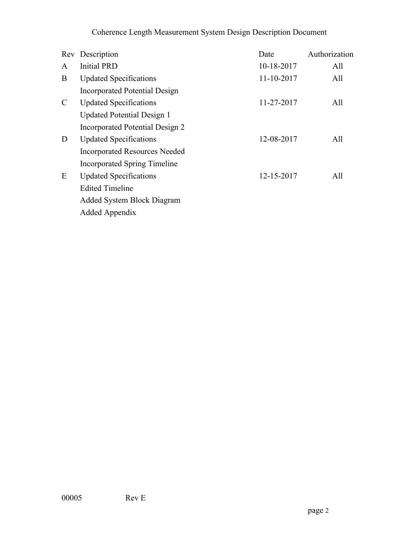|               | Rev Description                      | Date       | Authorization |
|---------------|--------------------------------------|------------|---------------|
| A             | <b>Initial PRD</b>                   | 10-18-2017 | All           |
| B             | <b>Updated Specifications</b>        | 11-10-2017 | All           |
|               | Incorporated Potential Design        |            |               |
| $\mathcal{C}$ | <b>Updated Specifications</b>        | 11-27-2017 | All           |
|               | <b>Updated Potential Design 1</b>    |            |               |
|               | Incorporated Potential Design 2      |            |               |
| D             | <b>Updated Specifications</b>        | 12-08-2017 | All           |
|               | <b>Incorporated Resources Needed</b> |            |               |
|               | <b>Incorporated Spring Timeline</b>  |            |               |
| E             | <b>Updated Specifications</b>        | 12-15-2017 | All           |
|               | <b>Edited Timeline</b>               |            |               |
|               | Added System Block Diagram           |            |               |
|               | Added Appendix                       |            |               |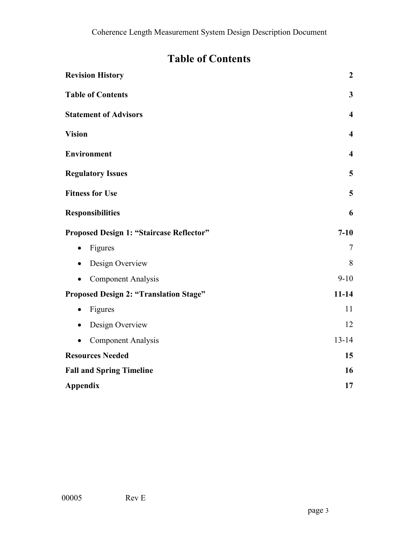## **Table of Contents**

| <b>Revision History</b>                         | $\boldsymbol{2}$        |
|-------------------------------------------------|-------------------------|
| <b>Table of Contents</b>                        | $\overline{\mathbf{3}}$ |
| <b>Statement of Advisors</b>                    | $\overline{\mathbf{4}}$ |
| <b>Vision</b>                                   | $\overline{\mathbf{4}}$ |
| <b>Environment</b>                              | $\overline{\mathbf{4}}$ |
| <b>Regulatory Issues</b>                        | 5                       |
| <b>Fitness for Use</b>                          | 5                       |
| <b>Responsibilities</b>                         | 6                       |
| <b>Proposed Design 1: "Staircase Reflector"</b> | $7 - 10$                |
| Figures<br>$\bullet$                            | $\tau$                  |
| Design Overview                                 | 8                       |
| <b>Component Analysis</b><br>$\bullet$          | $9-10$                  |
| <b>Proposed Design 2: "Translation Stage"</b>   | $11 - 14$               |
| Figures<br>$\bullet$                            | 11                      |
| Design Overview<br>٠                            | 12                      |
| <b>Component Analysis</b>                       | $13 - 14$               |
| <b>Resources Needed</b>                         | 15                      |
| <b>Fall and Spring Timeline</b>                 | 16                      |
| <b>Appendix</b>                                 | 17                      |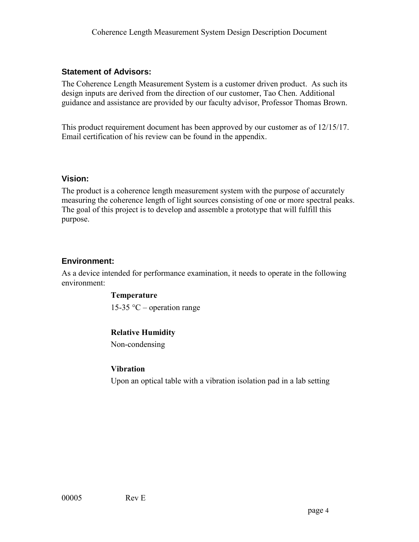#### **Statement of Advisors:**

The Coherence Length Measurement System is a customer driven product. As such its design inputs are derived from the direction of our customer, Tao Chen. Additional guidance and assistance are provided by our faculty advisor, Professor Thomas Brown.

This product requirement document has been approved by our customer as of 12/15/17. Email certification of his review can be found in the appendix.

#### **Vision:**

The product is a coherence length measurement system with the purpose of accurately measuring the coherence length of light sources consisting of one or more spectral peaks. The goal of this project is to develop and assemble a prototype that will fulfill this purpose.

#### **Environment:**

As a device intended for performance examination, it needs to operate in the following environment:

#### **Temperature**

15-35  $\degree$ C – operation range

#### **Relative Humidity**

Non-condensing

#### **Vibration**

Upon an optical table with a vibration isolation pad in a lab setting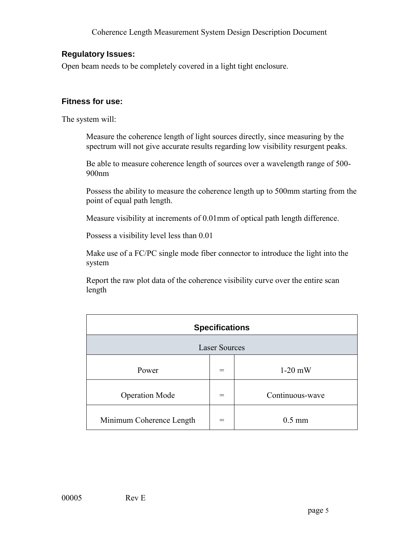#### **Regulatory Issues:**

Open beam needs to be completely covered in a light tight enclosure.

#### **Fitness for use:**

The system will:

Measure the coherence length of light sources directly, since measuring by the spectrum will not give accurate results regarding low visibility resurgent peaks.

Be able to measure coherence length of sources over a wavelength range of 500- 900nm

Possess the ability to measure the coherence length up to 500mm starting from the point of equal path length.

Measure visibility at increments of 0.01mm of optical path length difference.

Possess a visibility level less than 0.01

Make use of a FC/PC single mode fiber connector to introduce the light into the system

Report the raw plot data of the coherence visibility curve over the entire scan length

|                          | <b>Specifications</b> |                 |
|--------------------------|-----------------------|-----------------|
|                          | <b>Laser Sources</b>  |                 |
| Power                    |                       | $1-20$ mW       |
| <b>Operation Mode</b>    | $=$                   | Continuous-wave |
| Minimum Coherence Length |                       | $0.5$ mm        |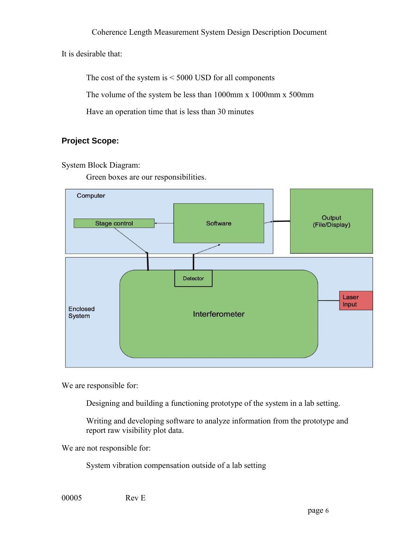It is desirable that:

The cost of the system is < 5000 USD for all components The volume of the system be less than 1000mm x 1000mm x 500mm Have an operation time that is less than 30 minutes

#### **Project Scope:**

#### System Block Diagram:

Green boxes are our responsibilities.



We are responsible for:

Designing and building a functioning prototype of the system in a lab setting.

Writing and developing software to analyze information from the prototype and report raw visibility plot data.

We are not responsible for:

System vibration compensation outside of a lab setting

00005 Rev E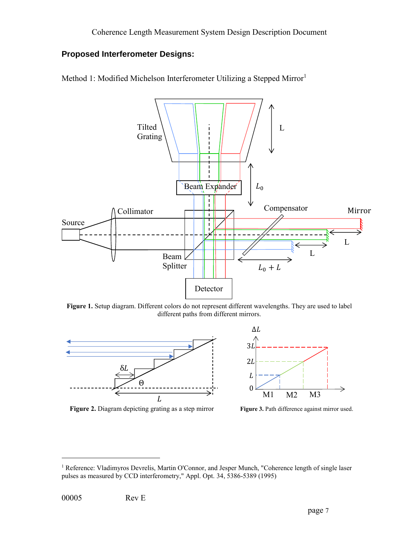### **Proposed Interferometer Designs:**





Figure 1. Setup diagram. Different colors do not represent different wavelengths. They are used to label different paths from different mirrors.



**Figure 2.** Diagram depicting grating as a step mirror **Figure 3.** Path difference against mirror used.



 $\overline{a}$ 

<sup>1</sup> Reference: Vladimyros Devrelis, Martin O'Connor, and Jesper Munch, "Coherence length of single laser pulses as measured by CCD interferometry," Appl. Opt. 34, 5386-5389 (1995)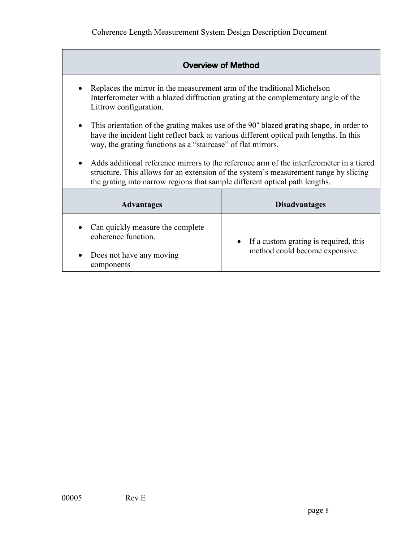|                                                                                                                | <b>Overview of Method</b>                                                                                                                                                         |
|----------------------------------------------------------------------------------------------------------------|-----------------------------------------------------------------------------------------------------------------------------------------------------------------------------------|
| Replaces the mirror in the measurement arm of the traditional Michelson<br>$\bullet$<br>Littrow configuration. | Interferometer with a blazed diffraction grating at the complementary angle of the                                                                                                |
| $\bullet$<br>way, the grating functions as a "staircase" of flat mirrors.                                      | This orientation of the grating makes use of the 90° blazed grating shape, in order to<br>have the incident light reflect back at various different optical path lengths. In this |
| the grating into narrow regions that sample different optical path lengths.                                    | Adds additional reference mirrors to the reference arm of the interferometer in a tiered<br>structure. This allows for an extension of the system's measurement range by slicing  |
| <b>Advantages</b>                                                                                              | <b>Disadvantages</b>                                                                                                                                                              |
| Can quickly measure the complete<br>coherence function.<br>Does not have any moving<br>components              | If a custom grating is required, this<br>method could become expensive.                                                                                                           |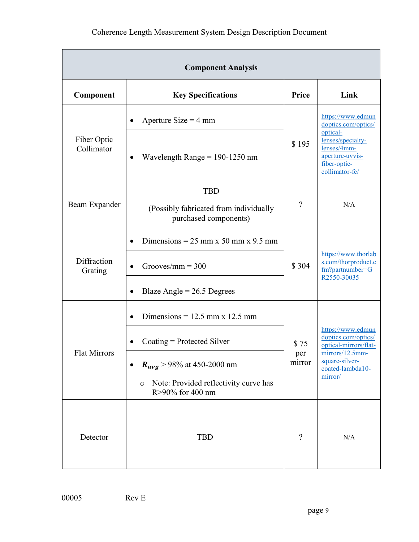|                           | <b>Component Analysis</b>                                                            |               |                                                                                                   |
|---------------------------|--------------------------------------------------------------------------------------|---------------|---------------------------------------------------------------------------------------------------|
| Component                 | <b>Key Specifications</b>                                                            | Price         | Link                                                                                              |
|                           | Aperture Size = $4 \text{ mm}$<br>$\bullet$                                          |               | https://www.edmun<br>doptics.com/optics/                                                          |
| Fiber Optic<br>Collimator | Wavelength Range = $190-1250$ nm<br>$\bullet$                                        | \$195         | optical-<br>lenses/specialty-<br>lenses/4mm-<br>aperture-uvvis-<br>fiber-optic-<br>collimator-fc/ |
| Beam Expander             | <b>TBD</b><br>(Possibly fabricated from individually<br>purchased components)        | $\gamma$      | N/A                                                                                               |
|                           | Dimensions = $25 \text{ mm} \times 50 \text{ mm} \times 9.5 \text{ mm}$<br>$\bullet$ |               |                                                                                                   |
| Diffraction<br>Grating    | Grooves/mm = $300$                                                                   | \$304         | https://www.thorlab<br>s.com/thorproduct.c<br>fm?partnumber=G<br>R2550-30035                      |
|                           | Blaze Angle = $26.5$ Degrees<br>$\bullet$                                            |               |                                                                                                   |
|                           | Dimensions = $12.5$ mm x 12.5 mm<br>$\bullet$                                        |               |                                                                                                   |
|                           | Coating $=$ Protected Silver<br>$\bullet$                                            | \$75          | https://www.edmun<br>doptics.com/optics/<br>optical-mirrors/flat-                                 |
| <b>Flat Mirrors</b>       | $R_{avg}$ > 98% at 450-2000 nm                                                       | per<br>mirror | mirrors/12.5mm-<br>square-silver-<br>coated-lambda10-<br>mirror/                                  |
|                           | Note: Provided reflectivity curve has<br>$\circ$<br>R>90% for 400 nm                 |               |                                                                                                   |
| Detector                  | <b>TBD</b>                                                                           | $\gamma$      | N/A                                                                                               |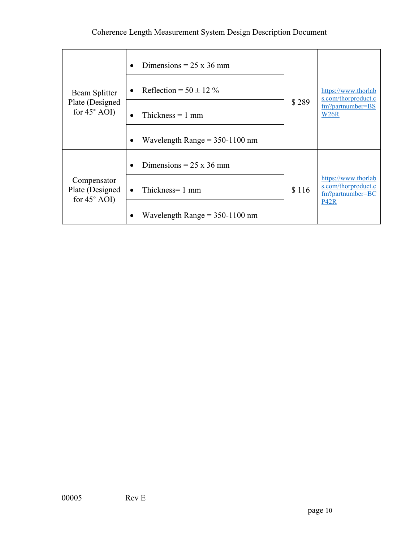| Beam Splitter<br>Plate (Designed)<br>for $45^{\circ}$ AOI) | Dimensions = $25 \times 36$ mm<br>$\bullet$<br>Reflection = $50 \pm 12\%$<br>$\bullet$<br>Thickness $= 1$ mm<br>$\bullet$<br>Wavelength Range $= 350-1100$ nm<br>٠ | \$289 | https://www.thorlab<br>s.com/thorproduct.c<br>fm?partnumber=BS<br>W <sub>26</sub> R |
|------------------------------------------------------------|--------------------------------------------------------------------------------------------------------------------------------------------------------------------|-------|-------------------------------------------------------------------------------------|
| Compensator<br>Plate (Designed)<br>for $45^{\circ}$ AOI)   | Dimensions = $25 \times 36$ mm<br>$\bullet$<br>Thickness= 1 mm<br>$\bullet$                                                                                        | \$116 | https://www.thorlab<br>s.com/thorproduct.c<br>fm?partnumber=BC<br><b>P42R</b>       |
|                                                            | Wavelength Range $= 350-1100$ nm                                                                                                                                   |       |                                                                                     |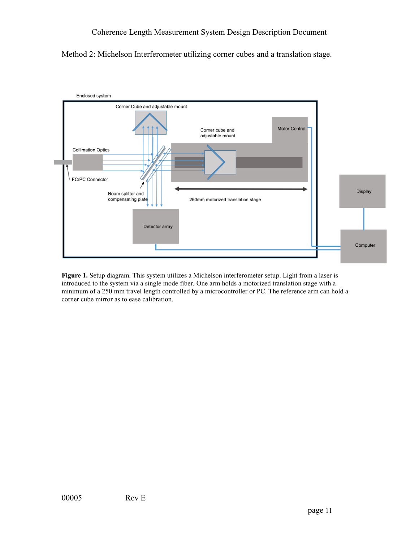



**Figure 1.** Setup diagram. This system utilizes a Michelson interferometer setup. Light from a laser is introduced to the system via a single mode fiber. One arm holds a motorized translation stage with a minimum of a 250 mm travel length controlled by a microcontroller or PC. The reference arm can hold a corner cube mirror as to ease calibration.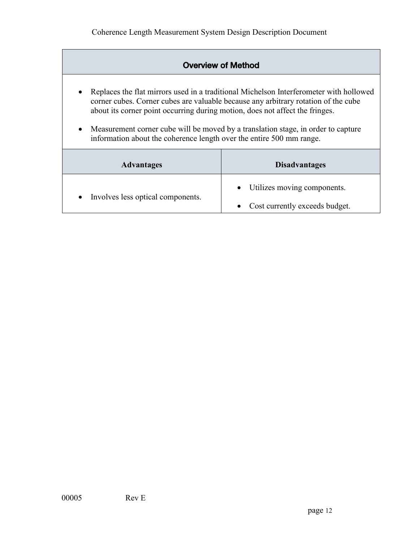| <b>Overview of Method</b>                                                                                                                                                      |                                                                                                                                                                                                                                                                   |
|--------------------------------------------------------------------------------------------------------------------------------------------------------------------------------|-------------------------------------------------------------------------------------------------------------------------------------------------------------------------------------------------------------------------------------------------------------------|
| $\bullet$<br>about its corner point occurring during motion, does not affect the fringes.<br>$\bullet$<br>information about the coherence length over the entire 500 mm range. | Replaces the flat mirrors used in a traditional Michelson Interferometer with hollowed<br>corner cubes. Corner cubes are valuable because any arbitrary rotation of the cube<br>Measurement corner cube will be moved by a translation stage, in order to capture |
| <b>Advantages</b>                                                                                                                                                              | <b>Disadvantages</b>                                                                                                                                                                                                                                              |
| Involves less optical components.<br>$\bullet$                                                                                                                                 | Utilizes moving components.<br>Cost currently exceeds budget.                                                                                                                                                                                                     |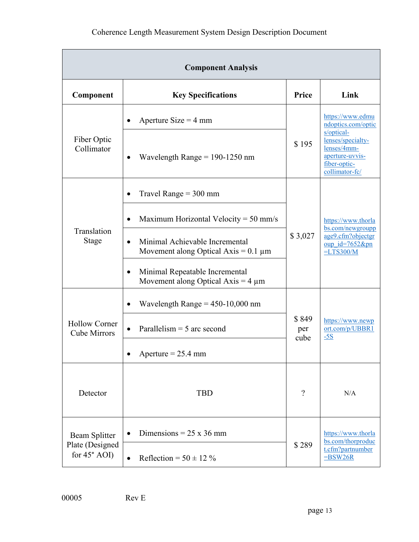|                                             | <b>Component Analysis</b>                                                                |                      |                                                                                       |
|---------------------------------------------|------------------------------------------------------------------------------------------|----------------------|---------------------------------------------------------------------------------------|
| Component                                   | <b>Key Specifications</b>                                                                | Price                | Link                                                                                  |
|                                             | Aperture Size = $4 \text{ mm}$                                                           |                      | https://www.edmu<br>ndoptics.com/optic<br>s/optical-                                  |
| Fiber Optic<br>Collimator                   | Wavelength Range = $190-1250$ nm                                                         | \$195                | lenses/specialty-<br>lenses/4mm-<br>aperture-uvvis-<br>fiber-optic-<br>collimator-fc/ |
|                                             | Travel Range $=$ 300 mm                                                                  |                      |                                                                                       |
|                                             | Maximum Horizontal Velocity = $50 \text{ mm/s}$                                          |                      | https://www.thorla<br>bs.com/newgroupp                                                |
| Translation<br>Stage                        | Minimal Achievable Incremental<br>$\bullet$<br>Movement along Optical Axis = $0.1 \mu m$ | \$3,027              | age9.cfm?objectgr<br>oup $id = 7652$ &pn<br>$=LT$ S300/M                              |
|                                             | Minimal Repeatable Incremental<br>$\bullet$<br>Movement along Optical Axis = $4 \mu m$   |                      |                                                                                       |
|                                             | Wavelength Range = $450-10,000$ nm                                                       |                      |                                                                                       |
| <b>Hollow Corner</b><br><b>Cube Mirrors</b> | Parallelism $=$ 5 arc second                                                             | \$849<br>per<br>cube | https://www.newp<br>ort.com/p/UBBR1<br>$-5S$                                          |
|                                             | Aperture = $25.4$ mm                                                                     |                      |                                                                                       |
| Detector                                    | <b>TBD</b>                                                                               | $\gamma$             | N/A                                                                                   |
| Beam Splitter                               | Dimensions = $25 \times 36$ mm                                                           |                      | https://www.thorla<br>bs.com/thorproduc                                               |
| Plate (Designed<br>for $45^\circ$ AOI)      | Reflection = $50 \pm 12\%$<br>$\bullet$                                                  | \$289                | t.cfm?partnumber<br>$=$ BSW26R                                                        |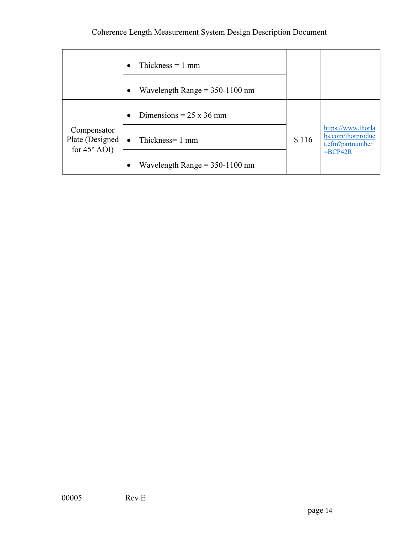|                                                         | Thickness $= 1$ mm<br>$\bullet$<br>Wavelength Range = $350-1100$ nm<br>$\bullet$ |       |                                                             |
|---------------------------------------------------------|----------------------------------------------------------------------------------|-------|-------------------------------------------------------------|
|                                                         | Dimensions = $25 \times 36$ mm<br>$\bullet$                                      |       |                                                             |
| Compensator<br>Plate (Designed<br>for $45^{\circ}$ AOI) | • Thickness= $1 \text{ mm}$                                                      | \$116 | https://www.thorla<br>bs.com/thorproduc<br>t.cfm?partnumber |
|                                                         | Wavelength Range = $350-1100$ nm<br>$\bullet$                                    |       | $=$ BCP42R                                                  |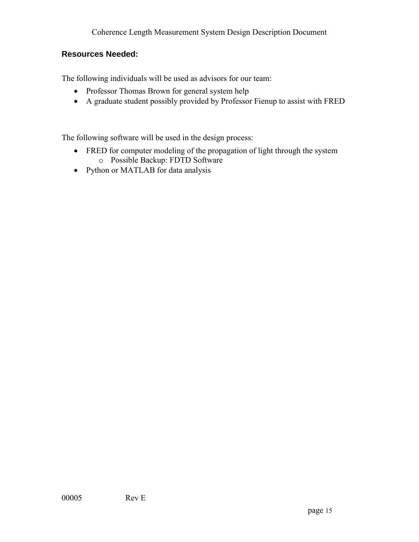#### **Resources Needed:**

The following individuals will be used as advisors for our team:

- Professor Thomas Brown for general system help
- A graduate student possibly provided by Professor Fienup to assist with FRED

The following software will be used in the design process:

- FRED for computer modeling of the propagation of light through the system o Possible Backup: FDTD Software
- Python or MATLAB for data analysis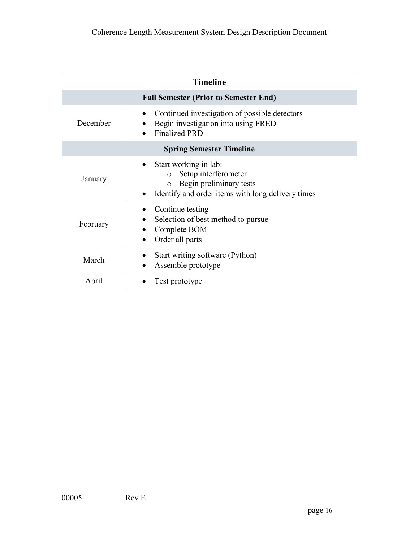|          | <b>Timeline</b>                                                                                                                                     |
|----------|-----------------------------------------------------------------------------------------------------------------------------------------------------|
|          | <b>Fall Semester (Prior to Semester End)</b>                                                                                                        |
| December | Continued investigation of possible detectors<br>Begin investigation into using FRED<br><b>Finalized PRD</b>                                        |
|          | <b>Spring Semester Timeline</b>                                                                                                                     |
| January  | Start working in lab:<br>Setup interferometer<br>$\circ$<br>Begin preliminary tests<br>$\circ$<br>Identify and order items with long delivery times |
| February | Continue testing<br>Selection of best method to pursue<br>Complete BOM<br>Order all parts                                                           |
| March    | Start writing software (Python)<br>Assemble prototype                                                                                               |
| April    | Test prototype                                                                                                                                      |